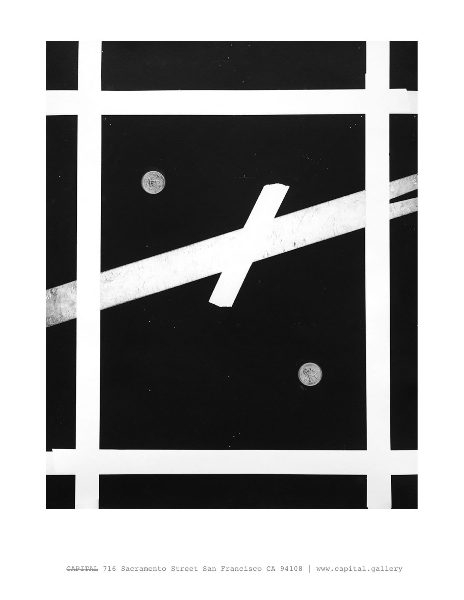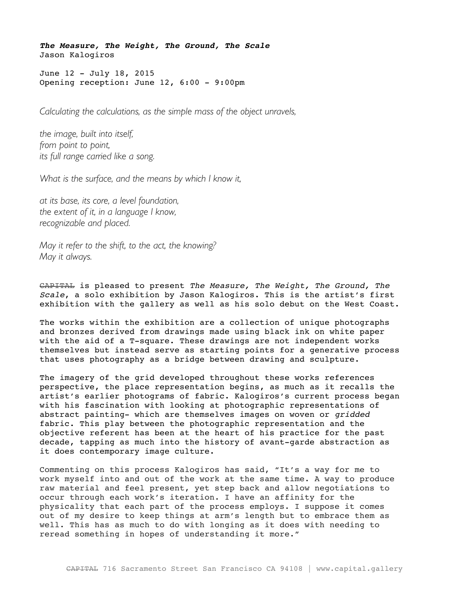*The Measure, The Weight, The Ground, The Scale* Jason Kalogiros

June 12 - July 18, 2015 Opening reception: June 12, 6:00 - 9:00pm

*Calculating the calculations, as the simple mass of the object unravels,*

*the image, built into itself, from point to point, its full range carried like a song.*

*What is the surface, and the means by which I know it,*

*at its base, its core, a level foundation, the extent of it, in a language I know, recognizable and placed.*

*May it refer to the shift, to the act, the knowing? May it always.*

CAPITAL is pleased to present *The Measure, The Weight, The Ground, The Scale*, a solo exhibition by Jason Kalogiros. This is the artist's first exhibition with the gallery as well as his solo debut on the West Coast.

The works within the exhibition are a collection of unique photographs and bronzes derived from drawings made using black ink on white paper with the aid of a T-square. These drawings are not independent works themselves but instead serve as starting points for a generative process that uses photography as a bridge between drawing and sculpture.

The imagery of the grid developed throughout these works references perspective, the place representation begins, as much as it recalls the artist's earlier photograms of fabric. Kalogiros's current process began with his fascination with looking at photographic representations of abstract painting- which are themselves images on woven or *gridded* fabric. This play between the photographic representation and the objective referent has been at the heart of his practice for the past decade, tapping as much into the history of avant-garde abstraction as it does contemporary image culture.

Commenting on this process Kalogiros has said, "It's a way for me to work myself into and out of the work at the same time. A way to produce raw material and feel present, yet step back and allow negotiations to occur through each work's iteration. I have an affinity for the physicality that each part of the process employs. I suppose it comes out of my desire to keep things at arm's length but to embrace them as well. This has as much to do with longing as it does with needing to reread something in hopes of understanding it more."